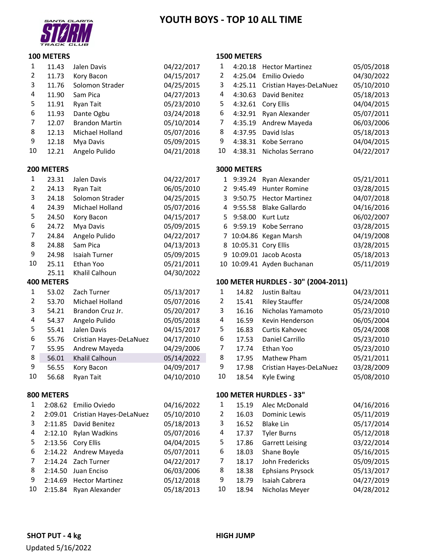# **YOUTH BOYS ‐ TOP 10 ALL TIME**



#### **METERS**

#### **METERS**

| $\mathbf{1}$   | 11.43             | Jalen Davis             | 04/22/2017 | 1  | 4:20.18     | <b>Hector Martinez</b>              | 05/05/2018 |
|----------------|-------------------|-------------------------|------------|----|-------------|-------------------------------------|------------|
| $\overline{2}$ | 11.73             | Kory Bacon              | 04/15/2017 | 2  | 4:25.04     | Emilio Oviedo                       | 04/30/2022 |
| 3              | 11.76             | Solomon Strader         | 04/25/2015 | 3  | 4:25.11     | Cristian Hayes-DeLaNuez             | 05/10/2010 |
| 4              | 11.90             | Sam Pica                | 04/27/2013 | 4  | 4:30.63     | David Benitez                       | 05/18/2013 |
| 5              | 11.91             | Ryan Tait               | 05/23/2010 | 5  | 4:32.61     | <b>Cory Ellis</b>                   | 04/04/2015 |
| 6              | 11.93             | Dante Ogbu              | 03/24/2018 | 6  | 4:32.91     | Ryan Alexander                      | 05/07/2011 |
| 7              | 12.07             | <b>Brandon Martin</b>   | 05/10/2014 | 7  | 4:35.19     | Andrew Mayeda                       | 06/03/2006 |
| 8              | 12.13             | Michael Holland         | 05/07/2016 | 8  | 4:37.95     | David Islas                         | 05/18/2013 |
| 9              | 12.18             | Mya Davis               | 05/09/2015 | 9  | 4:38.31     | Kobe Serrano                        | 04/04/2015 |
| 10             | 12.21             | Angelo Pulido           | 04/21/2018 | 10 | 4:38.31     | Nicholas Serrano                    | 04/22/2017 |
|                | 200 METERS        |                         |            |    | 3000 METERS |                                     |            |
| $\mathbf{1}$   | 23.31             | Jalen Davis             | 04/22/2017 |    |             | 1 9:39.24 Ryan Alexander            | 05/21/2011 |
| 2              | 24.13             | Ryan Tait               | 06/05/2010 | 2  | 9:45.49     | <b>Hunter Romine</b>                | 03/28/2015 |
| 3              | 24.18             | Solomon Strader         | 04/25/2015 | 3  | 9:50.75     | <b>Hector Martinez</b>              | 04/07/2018 |
| 4              | 24.39             | Michael Holland         | 05/07/2016 | 4  | 9:55.58     | <b>Blake Gallardo</b>               | 04/16/2016 |
| 5              | 24.50             | Kory Bacon              | 04/15/2017 | 5  | 9:58.00     | Kurt Lutz                           | 06/02/2007 |
| 6              | 24.72             | Mya Davis               | 05/09/2015 | 6  | 9:59.19     | Kobe Serrano                        | 03/28/2015 |
| 7              | 24.84             | Angelo Pulido           | 04/22/2017 |    |             | 7 10:04.86 Kegan Marsh              | 04/19/2008 |
| 8              | 24.88             | Sam Pica                | 04/13/2013 |    |             | 8 10:05.31 Cory Ellis               | 03/28/2015 |
| 9              | 24.98             | Isaiah Turner           | 05/09/2015 | 9  |             | 10:09.01 Jacob Acosta               | 05/18/2013 |
| 10             | 25.11             | Ethan Yoo               | 05/21/2011 | 10 |             | 10:09.41 Ayden Buchanan             | 05/11/2019 |
|                | 25.11             | Khalil Calhoun          | 04/30/2022 |    |             |                                     |            |
|                | <b>400 METERS</b> |                         |            |    |             | 100 METER HURDLES - 30" (2004-2011) |            |
| $\mathbf{1}$   | 53.02             | Zach Turner             | 05/13/2017 | 1  | 14.82       | Justin Baltau                       | 04/23/2011 |
| $\overline{2}$ | 53.70             | Michael Holland         | 05/07/2016 | 2  | 15.41       | <b>Riley Stauffer</b>               | 05/24/2008 |
| 3              | 54.21             | Brandon Cruz Jr.        | 05/20/2017 | 3  | 16.16       | Nicholas Yamamoto                   | 05/23/2010 |
| 4              | 54.37             | Angelo Pulido           | 05/05/2018 | 4  | 16.59       | Kevin Henderson                     | 06/05/2004 |
| 5              | 55.41             | Jalen Davis             | 04/15/2017 | 5  | 16.83       | Curtis Kahovec                      | 05/24/2008 |
| 6              | 55.76             | Cristian Hayes-DeLaNuez | 04/17/2010 | 6  | 17.53       | Daniel Carrillo                     | 05/23/2010 |
| 7              | 55.95             | Andrew Mayeda           | 04/29/2006 | 7  | 17.74       | Ethan Yoo                           | 05/23/2010 |
| 8              | 56.01             | Khalil Calhoun          | 05/14/2022 | 8  | 17.95       | Mathew Pham                         | 05/21/2011 |
| 9              | 56.55             | Kory Bacon              | 04/09/2017 | 9  | 17.98       | Cristian Hayes-DeLaNuez             | 03/28/2009 |
| 10             | 56.68             | <b>Ryan Tait</b>        | 04/10/2010 | 10 | 18.54       | Kyle Ewing                          | 05/08/2010 |
|                | 800 METERS        |                         |            |    |             | 100 METER HURDLES - 33"             |            |
| 1              | 2:08.62           | Emilio Oviedo           | 04/16/2022 | 1  | 15.19       | Alec McDonald                       | 04/16/2016 |
| 2              | 2:09.01           | Cristian Hayes-DeLaNuez | 05/10/2010 | 2  | 16.03       | Dominic Lewis                       | 05/11/2019 |
| 3              | 2:11.85           | David Benitez           | 05/18/2013 | 3  | 16.52       | <b>Blake Lin</b>                    | 05/17/2014 |
| 4              | 2:12.10           | <b>Rylan Wadkins</b>    | 05/07/2016 | 4  | 17.37       | <b>Tyler Burns</b>                  | 05/12/2018 |
| 5              | 2:13.56           | Cory Ellis              | 04/04/2015 | 5  | 17.86       | <b>Garrett Leising</b>              | 03/22/2014 |
| 6              | 2:14.22           | Andrew Mayeda           | 05/07/2011 | 6  | 18.03       | Shane Boyle                         | 05/16/2015 |
| 7              | 2:14.24           | Zach Turner             | 04/22/2017 | 7  | 18.17       | John Fredericks                     | 05/09/2015 |
| 8              | 2:14.50           | Juan Enciso             | 06/03/2006 | 8  | 18.38       | <b>Ephsians Prysock</b>             | 05/13/2017 |
| 9              | 2:14.69           | <b>Hector Martinez</b>  | 05/12/2018 | 9  | 18.79       | Isaiah Cabrera                      | 04/27/2019 |
| 10             | 2:15.84           | Ryan Alexander          | 05/18/2013 | 10 | 18.94       | Nicholas Meyer                      | 04/28/2012 |
|                |                   |                         |            |    |             |                                     |            |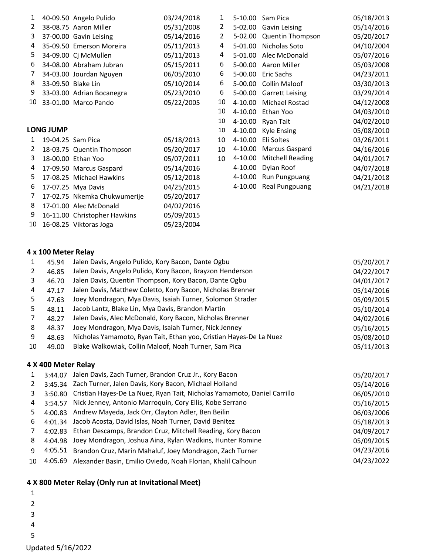|                  |  | 03/24/2018                                                                                                                                                                                                                                                                                                                                                                                                                                                                                                                              | 1  | $5-10.00$   | Sam Pica                | 05/18/2013 |
|------------------|--|-----------------------------------------------------------------------------------------------------------------------------------------------------------------------------------------------------------------------------------------------------------------------------------------------------------------------------------------------------------------------------------------------------------------------------------------------------------------------------------------------------------------------------------------|----|-------------|-------------------------|------------|
|                  |  | 05/31/2008                                                                                                                                                                                                                                                                                                                                                                                                                                                                                                                              | 2  | 5-02.00     | Gavin Leising           | 05/14/2016 |
|                  |  | 05/14/2016                                                                                                                                                                                                                                                                                                                                                                                                                                                                                                                              | 2  | 5-02.00     | Quentin Thompson        | 05/20/2017 |
|                  |  | 05/11/2013                                                                                                                                                                                                                                                                                                                                                                                                                                                                                                                              | 4  | 5-01.00     | Nicholas Soto           | 04/10/2004 |
|                  |  | 05/11/2013                                                                                                                                                                                                                                                                                                                                                                                                                                                                                                                              | 4  | 5-01.00     | Alec McDonald           | 05/07/2016 |
|                  |  | 05/15/2011                                                                                                                                                                                                                                                                                                                                                                                                                                                                                                                              | 6  | 5-00.00     | Aaron Miller            | 05/03/2008 |
|                  |  | 06/05/2010                                                                                                                                                                                                                                                                                                                                                                                                                                                                                                                              | 6  | 5-00.00     | Eric Sachs              | 04/23/2011 |
|                  |  | 05/10/2014                                                                                                                                                                                                                                                                                                                                                                                                                                                                                                                              | 6  | 5-00.00     | Collin Maloof           | 03/30/2013 |
|                  |  | 05/23/2010                                                                                                                                                                                                                                                                                                                                                                                                                                                                                                                              | 6  | 5-00.00     | <b>Garrett Leising</b>  | 03/29/2014 |
|                  |  | 05/22/2005                                                                                                                                                                                                                                                                                                                                                                                                                                                                                                                              | 10 | 4-10.00     | Michael Rostad          | 04/12/2008 |
|                  |  |                                                                                                                                                                                                                                                                                                                                                                                                                                                                                                                                         | 10 | 4-10.00     | Ethan Yoo               | 04/03/2010 |
|                  |  |                                                                                                                                                                                                                                                                                                                                                                                                                                                                                                                                         | 10 | $4 - 10.00$ | Ryan Tait               | 04/02/2010 |
| <b>LONG JUMP</b> |  |                                                                                                                                                                                                                                                                                                                                                                                                                                                                                                                                         | 10 | $4 - 10.00$ | Kyle Ensing             | 05/08/2010 |
|                  |  | 05/18/2013                                                                                                                                                                                                                                                                                                                                                                                                                                                                                                                              | 10 | 4-10.00     | Eli Soltes              | 03/26/2011 |
|                  |  | 05/20/2017                                                                                                                                                                                                                                                                                                                                                                                                                                                                                                                              | 10 | 4-10.00     | Marcus Gaspard          | 04/16/2016 |
|                  |  | 05/07/2011                                                                                                                                                                                                                                                                                                                                                                                                                                                                                                                              | 10 | $4 - 10.00$ | <b>Mitchell Reading</b> | 04/01/2017 |
|                  |  | 05/14/2016                                                                                                                                                                                                                                                                                                                                                                                                                                                                                                                              |    | 4-10.00     | Dylan Roof              | 04/07/2018 |
|                  |  | 05/12/2018                                                                                                                                                                                                                                                                                                                                                                                                                                                                                                                              |    | 4-10.00     | Run Pungpuang           | 04/21/2018 |
|                  |  | 04/25/2015                                                                                                                                                                                                                                                                                                                                                                                                                                                                                                                              |    | 4-10.00     | Real Pungpuang          | 04/21/2018 |
|                  |  | 05/20/2017                                                                                                                                                                                                                                                                                                                                                                                                                                                                                                                              |    |             |                         |            |
|                  |  | 04/02/2016                                                                                                                                                                                                                                                                                                                                                                                                                                                                                                                              |    |             |                         |            |
|                  |  | 05/09/2015                                                                                                                                                                                                                                                                                                                                                                                                                                                                                                                              |    |             |                         |            |
|                  |  | 05/23/2004                                                                                                                                                                                                                                                                                                                                                                                                                                                                                                                              |    |             |                         |            |
|                  |  | 40-09.50 Angelo Pulido<br>38-08.75 Aaron Miller<br>37-00.00 Gavin Leising<br>35-09.50 Emerson Moreira<br>34-09.00 Cj McMullen<br>34-08.00 Abraham Jubran<br>34-03.00 Jourdan Nguyen<br>33-09.50 Blake Lin<br>33-03.00 Adrian Bocanegra<br>33-01.00 Marco Pando<br>19-04.25 Sam Pica<br>18-03.75 Quentin Thompson<br>18-00.00 Ethan Yoo<br>17-09.50 Marcus Gaspard<br>17-08.25 Michael Hawkins<br>17-07.25 Mya Davis<br>17-02.75 Nkemka Chukwumerije<br>17-01.00 Alec McDonald<br>16-11.00 Christopher Hawkins<br>16-08.25 Viktoras Joga |    |             |                         |            |

### **x 100 Meter Relay**

|    | 45.94               | Jalen Davis, Angelo Pulido, Kory Bacon, Dante Ogbu                               | 05/20/2017 |
|----|---------------------|----------------------------------------------------------------------------------|------------|
| 2  | 46.85               | Jalen Davis, Angelo Pulido, Kory Bacon, Brayzon Henderson                        | 04/22/2017 |
| 3  | 46.70               | Jalen Davis, Quentin Thompson, Kory Bacon, Dante Ogbu                            | 04/01/2017 |
| 4  | 47.17               | Jalen Davis, Matthew Coletto, Kory Bacon, Nicholas Brenner                       | 05/14/2016 |
| 5. | 47.63               | Joey Mondragon, Mya Davis, Isaiah Turner, Solomon Strader                        | 05/09/2015 |
| 5. | 48.11               | Jacob Lantz, Blake Lin, Mya Davis, Brandon Martin                                | 05/10/2014 |
|    | 48.27               | Jalen Davis, Alec McDonald, Kory Bacon, Nicholas Brenner                         | 04/02/2016 |
| 8  | 48.37               | Joey Mondragon, Mya Davis, Isaiah Turner, Nick Jenney                            | 05/16/2015 |
| 9  | 48.63               | Nicholas Yamamoto, Ryan Tait, Ethan yoo, Cristian Hayes-De La Nuez               | 05/08/2010 |
| 10 | 49.00               | Blake Walkowiak, Collin Maloof, Noah Turner, Sam Pica                            | 05/11/2013 |
|    | 4 X 400 Meter Relay |                                                                                  |            |
| 1  | 3:44.07             | Jalen Davis, Zach Turner, Brandon Cruz Jr., Kory Bacon                           | 05/20/2017 |
|    |                     | 3:45.34 Zach Turner, Jalen Davis, Kory Bacon, Michael Holland                    | 05/14/2016 |
| 2  |                     | a.co.en Cristian Haves-De La Nuez, Ryan Tait, Nicholas Vamamoto, Daniel Carrillo | AC/AC/2010 |

| 3 |         | 3:50.80 Cristian Hayes-De La Nuez, Ryan Tait, Nicholas Yamamoto, Daniel Carrillo | 06/05/2010 |
|---|---------|----------------------------------------------------------------------------------|------------|
| 4 | 3:54.57 | Nick Jenney, Antonio Marroquin, Cory Ellis, Kobe Serrano                         | 05/16/2015 |
| 5 |         | 4:00.83 Andrew Mayeda, Jack Orr, Clayton Adler, Ben Beilin                       | 06/03/2006 |
| 6 |         | 4:01.34 Jacob Acosta, David Islas, Noah Turner, David Benitez                    | 05/18/2013 |
|   |         | 4:02.83 Ethan Descamps, Brandon Cruz, Mitchell Reading, Kory Bacon               | 04/09/2017 |
| 8 |         | 4:04.98 Joey Mondragon, Joshua Aina, Rylan Wadkins, Hunter Romine                | 05/09/2015 |
| 9 |         | 4:05.51 Brandon Cruz, Marin Mahaluf, Joey Mondragon, Zach Turner                 | 04/23/2016 |
|   |         | 10 4:05.69 Alexander Basin, Emilio Oviedo, Noah Florian, Khalil Calhoun          | 04/23/2022 |
|   |         |                                                                                  |            |

## **X 800 Meter Relay (Only run at Invitational Meet)**

|   |        | . .<br>ı |
|---|--------|----------|
| 1 |        |          |
| 2 |        |          |
| 3 |        |          |
| 4 |        |          |
| 5 |        |          |
|   | $\sim$ |          |